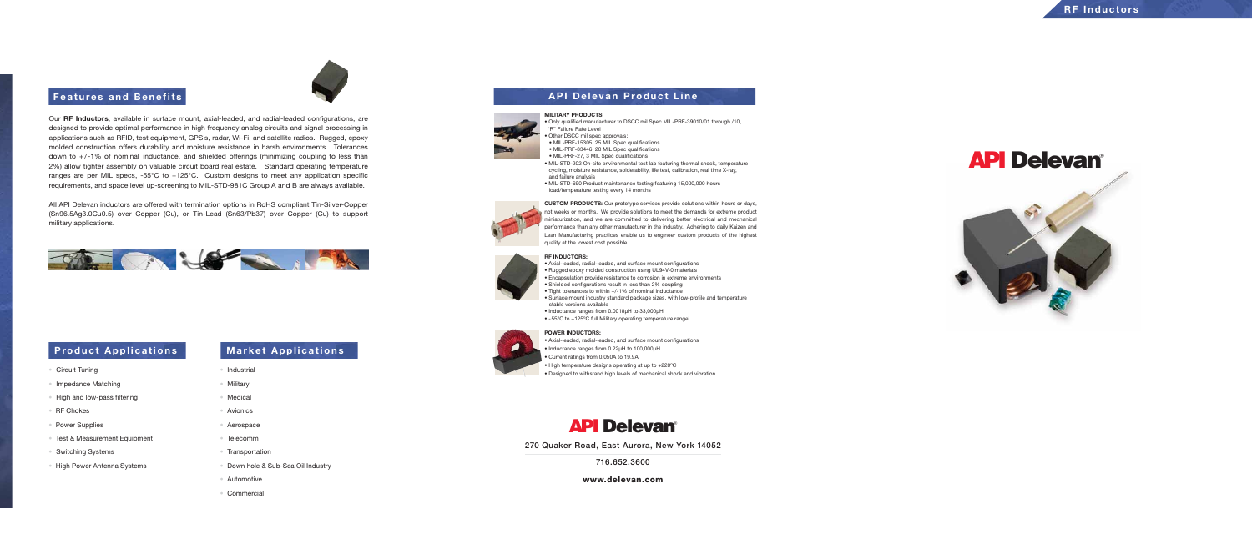## **Features and Benefits and Benefits and Benefits and Executive Contract Line**

Our **RF Inductors**, available in surface mount, axial-leaded, and radial-leaded configurations, are designed to provide optimal performance in high frequency analog circuits and signal processing in applications such as RFID, test equipment, GPS's, radar, Wi-Fi, and satellite radios. Rugged, epoxy molded construction offers durability and moisture resistance in harsh environments. Tolerances down to +/-1% of nominal inductance, and shielded offerings (minimizing coupling to less than 2%) allow tighter assembly on valuable circuit board real estate. Standard operating temperature ranges are per MIL specs, -55°C to +125°C. Custom designs to meet any application specific requirements, and space level up-screening to MIL-STD-981C Group A and B are always available.

All API Delevan inductors are offered with termination options in RoHS compliant Tin-Silver-Copper (Sn96.5Ag3.0Cu0.5) over Copper (Cu), or Tin-Lead (Sn63/Pb37) over Copper (Cu) to support military applications.



## **Product Applications | Market Applications**

### **RF INDUCTORS:**





• Axial-leaded, radial-leaded, and surface mount configurations • Rugged epoxy molded construction using UL94V-0 materials • Encapsulation provide resistance to corrosion in extreme environments • Shielded configurations result in less than 2% coupling • Tight tolerances to within +/-1% of nominal inductance • Surface mount industry standard package sizes, with low-profile and temperature

- 
- stable versions available • Inductance ranges from 0.0018µH to 33,000µH
- 

• -55ºC to +125ºC full Military operating temperature rangel

**MILITARY PRODUCTS:**

• Only qualified manufacturer to DSCC mil Spec MIL-PRF-39010/01 through /10,

# "R" Failure Rate Level

• Other DSCC mil spec approvals:

• MIL-PRF-15305, 25 MIL Spec qualifications

• MIL-PRF-83446, 20 MIL Spec qualifications

• MIL-PRF-27, 3 MIL Spec qualifications

• MIL-STD-202 On-site environmental test lab featuring thermal shock, temperature cycling, moisture resistance, solderability, life test, calibration, real time X-ray,

and failure analysis

• MIL-STD-690 Product maintenance testing featuring 15,000,000 hours

load/temperature testing every 14 months

**CUSTOM PRODUCTS:** Our prototype services provide solutions within hours or days, not weeks or months. We provide solutions to meet the demands for extreme product miniaturization, and we are committed to delivering better electrical and mechanical performance than any other manufacturer in the industry. Adhering to daily Kaizen and Lean Manufacturing practices enable us to engineer custom products of the highest quality at the lowest cost possible.

### **POWER INDUCTORS:**

- Current ratings from 0.050A to 19.9A
- 

• Axial-leaded, radial-leaded, and surface mount configurations • Inductance ranges from 0.22µH to 100,000µH • High temperature designs operating at up to +220ºC • Designed to withstand high levels of mechanical shock and vibration

# API Delevan®

- Circuit Tuning
- Impedance Matching
- High and low-pass filtering
- RF Chokes
- Power Supplies
- Test & Measurement Equipment
- Switching Systems
- High Power Antenna Systems

- Industrial
- Military
- Medical
- Avionics
- Aerospace
- Telecomm
- Transportation
- Down hole & Sub-Sea Oil Industry
- Automotive
- Commercial

270 Quaker Road, East Aurora, New York 14052

716.652.3600







www.delevan.com

# API Delevan®